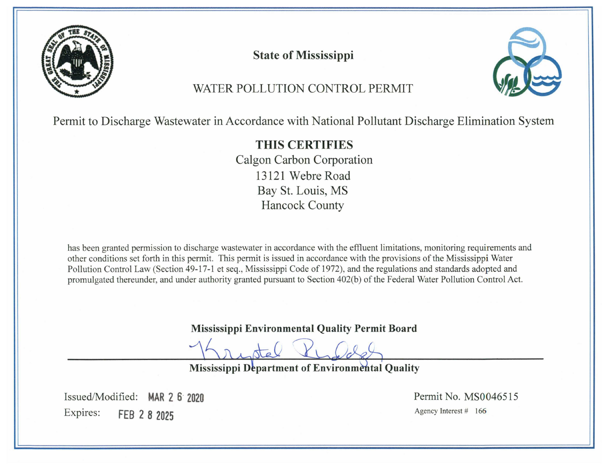

**State of Mississippi** 



# WATER POLLUTION CONTROL PERMIT

Permit to Discharge Wastewater in Accordance with National Pollutant Discharge Elimination System

# **THIS CERTIFIES** Calgon Carbon Corporation 13121 Webre Road Bay St. Louis, MS **Hancock County**

has been granted permission to discharge wastewater in accordance with the effluent limitations, monitoring requirements and other conditions set forth in this permit. This permit is issued in accordance with the provisions of the Mississippi Water Pollution Control Law (Section 49-17-1 et seq., Mississippi Code of 1972), and the regulations and standards adopted and promulgated thereunder, and under authority granted pursuant to Section 402(b) of the Federal Water Pollution Control Act.

**Mississippi Environmental Quality Permit Board** 

Mississippi Department of Environmental Quality

Issued/Modified: MAR 2 6 2020 Expires: FEB 2 8 2025

Permit No. MS0046515 Agency Interest # 166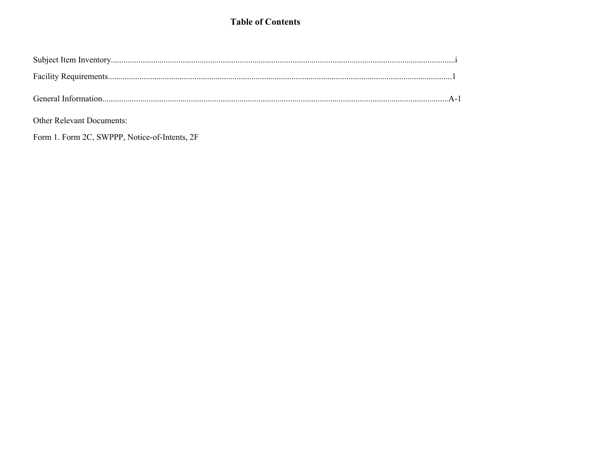### **Table of Contents**

Other Relevant Documents:

Form 1. Form 2C, SWPPP, Notice-of-Intents, 2F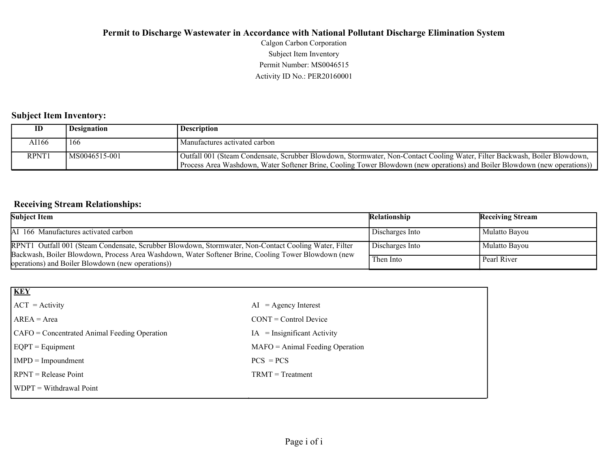Activity ID No.: PER20160001 Permit Number: MS0046515 Subject Item Inventory Calgon Carbon Corporation

#### **Subject Item Inventory:**

|       | <b>Designation</b> | <b>Description</b>                                                                                                                                                                                                                                       |
|-------|--------------------|----------------------------------------------------------------------------------------------------------------------------------------------------------------------------------------------------------------------------------------------------------|
| AI166 | 166                | Manufactures activated carbon                                                                                                                                                                                                                            |
| RPNT1 | $MS0046515-001$    | Outfall 001 (Steam Condensate, Scrubber Blowdown, Stormwater, Non-Contact Cooling Water, Filter Backwash, Boiler Blowdown,<br>Process Area Washdown, Water Softener Brine, Cooling Tower Blowdown (new operations) and Boiler Blowdown (new operations)) |

### **Receiving Stream Relationships:**

| <b>Subject Item</b>                                                                                                                                                                                          | Relationship    | <b>Receiving Stream</b> |
|--------------------------------------------------------------------------------------------------------------------------------------------------------------------------------------------------------------|-----------------|-------------------------|
| AI 166 Manufactures activated carbon                                                                                                                                                                         | Discharges Into | Mulatto Bayou           |
| RPNT1 Outfall 001 (Steam Condensate, Scrubber Blowdown, Stormwater, Non-Contact Cooling Water, Filter<br>Backwash, Boiler Blowdown, Process Area Washdown, Water Softener Brine, Cooling Tower Blowdown (new | Discharges Into | Mulatto Bayou           |
| operations) and Boiler Blowdown (new operations))                                                                                                                                                            | Then Into       | Pearl River             |

| <b>KEY</b>                                     |                                   |
|------------------------------------------------|-----------------------------------|
| $ ACT = Activity$                              | $=$ Agency Interest<br>AI         |
| $AREA = Area$                                  | $CONT = Control$ Device           |
| $CAFO =$ Concentrated Animal Feeding Operation | $IA = Insignificant Activity$     |
| $EQPT = Equipment$                             | $MAFO = Animal Feeding Operation$ |
| $IMPD = Impoundment$                           | $PCS = PCs$                       |
| $RPNT = Release Point$                         | $TRMT = Treatment$                |
| $WDPT = Without$ Withdrawal Point              |                                   |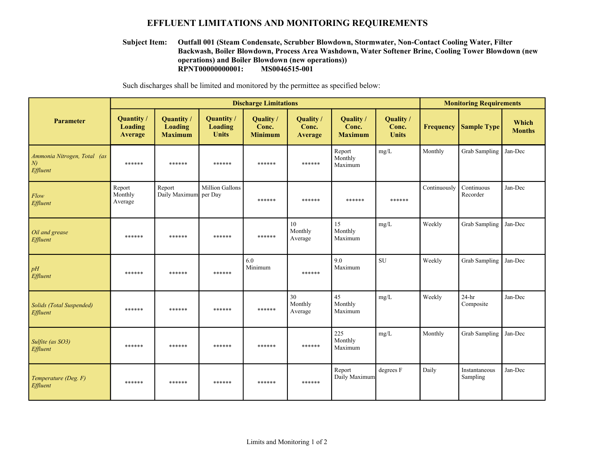#### **EFFLUENT LIMITATIONS AND MONITORING REQUIREMENTS**

#### **RPNT00000000001: MS0046515-001 Outfall 001 (Steam Condensate, Scrubber Blowdown, Stormwater, Non-Contact Cooling Water, Filter Backwash, Boiler Blowdown, Process Area Washdown, Water Softener Brine, Cooling Tower Blowdown (new operations) and Boiler Blowdown (new operations)) Subject Item:**

Such discharges shall be limited and monitored by the permittee as specified below:

|                                              | <b>Discharge Limitations</b>    |                                                |                                       |                                      |                               |                                      |                                    | <b>Monitoring Requirements</b> |                           |                        |
|----------------------------------------------|---------------------------------|------------------------------------------------|---------------------------------------|--------------------------------------|-------------------------------|--------------------------------------|------------------------------------|--------------------------------|---------------------------|------------------------|
| Parameter                                    | Quantity/<br>Loading<br>Average | Quantity /<br><b>Loading</b><br><b>Maximum</b> | Quantity /<br>Loading<br><b>Units</b> | Quality /<br>Conc.<br><b>Minimum</b> | Quality /<br>Conc.<br>Average | Quality /<br>Conc.<br><b>Maximum</b> | Quality /<br>Conc.<br><b>Units</b> | <b>Frequency</b>               | <b>Sample Type</b>        | Which<br><b>Months</b> |
| Ammonia Nitrogen, Total (as<br>N<br>Effluent | ******                          | ******                                         | ******                                | ******                               | ******                        | Report<br>Monthly<br>Maximum         | mg/L                               | Monthly                        | <b>Grab Sampling</b>      | Jan-Dec                |
| Flow<br>Effluent                             | Report<br>Monthly<br>Average    | Report<br>Daily Maximum per Day                | Million Gallons                       | ******                               | ******                        | ******                               | ******                             | Continuously                   | Continuous<br>Recorder    | Jan-Dec                |
| Oil and grease<br>Effluent                   | ******                          | ******                                         | ******                                | ******                               | 10<br>Monthly<br>Average      | 15<br>Monthly<br>Maximum             | mg/L                               | Weekly                         | <b>Grab Sampling</b>      | Jan-Dec                |
| pH<br>Effluent                               | ******                          | ******                                         | ******                                | 6.0<br>Minimum                       | ******                        | 9.0<br>Maximum                       | <b>SU</b>                          | Weekly                         | <b>Grab Sampling</b>      | Jan-Dec                |
| Solids (Total Suspended)<br>Effluent         | ******                          | ******                                         | ******                                | ******                               | 30<br>Monthly<br>Average      | 45<br>Monthly<br>Maximum             | mg/L                               | Weekly                         | $24-hr$<br>Composite      | Jan-Dec                |
| Sulfite (as SO3)<br>Effluent                 | ******                          | ******                                         | ******                                | ******                               | ******                        | 225<br>Monthly<br>Maximum            | mg/L                               | Monthly                        | Grab Sampling             | Jan-Dec                |
| Temperature (Deg. F)<br>Effluent             | ******                          | ******                                         | ******                                | ******                               | ******                        | Report<br>Daily Maximum              | degrees F                          | Daily                          | Instantaneous<br>Sampling | Jan-Dec                |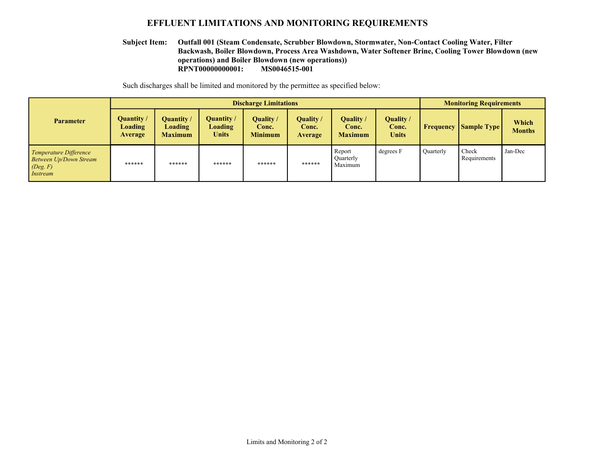#### **EFFLUENT LIMITATIONS AND MONITORING REQUIREMENTS**

#### **RPNT00000000001: MS0046515-001 Outfall 001 (Steam Condensate, Scrubber Blowdown, Stormwater, Non-Contact Cooling Water, Filter Backwash, Boiler Blowdown, Process Area Washdown, Water Softener Brine, Cooling Tower Blowdown (new operations) and Boiler Blowdown (new operations)) Subject Item:**

Such discharges shall be limited and monitored by the permittee as specified below:

|                                                                                        | <b>Discharge Limitations</b>            |                                                |                                                     |                                      |                                      |                                      |                             | <b>Monitoring Requirements</b> |                       |                        |
|----------------------------------------------------------------------------------------|-----------------------------------------|------------------------------------------------|-----------------------------------------------------|--------------------------------------|--------------------------------------|--------------------------------------|-----------------------------|--------------------------------|-----------------------|------------------------|
| <b>Parameter</b>                                                                       | Quantity /<br><b>Loading</b><br>Average | <b>Quantity</b> /<br>Loading<br><b>Maximum</b> | <b>Quantity</b> /<br><b>Loading</b><br><b>Units</b> | Quality /<br>Conc.<br><b>Minimum</b> | Quality /<br>Conc.<br><b>Average</b> | Quality /<br>Conc.<br><b>Maximum</b> | Quality /<br>Conc.<br>Units | Frequency                      | <b>Sample Type</b>    | Which<br><b>Months</b> |
| Temperature Difference<br><b>Between Up/Down Stream</b><br>(Deg. F)<br><i>Instream</i> | ******                                  | ******                                         | ******                                              | ******                               | ******                               | Report<br>Quarterly<br>Maximum       | degrees F                   | <b>Ouarterly</b>               | Check<br>Requirements | Jan-Dec                |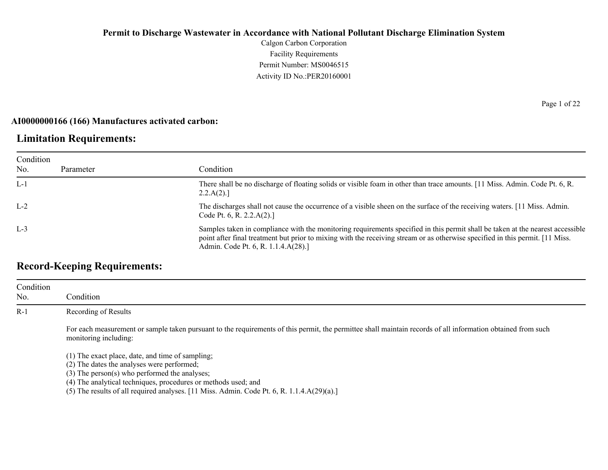Calgon Carbon Corporation Facility Requirements Permit Number: MS0046515 Activity ID No.:PER20160001

#### **AI0000000166 (166) Manufactures activated carbon:**

### **Limitation Requirements:**

| Condition |           |                                                                                                                                                                                                                                                                                                         |
|-----------|-----------|---------------------------------------------------------------------------------------------------------------------------------------------------------------------------------------------------------------------------------------------------------------------------------------------------------|
| No.       | Parameter | Condition                                                                                                                                                                                                                                                                                               |
| $L-1$     |           | There shall be no discharge of floating solids or visible foam in other than trace amounts. [11 Miss. Admin. Code Pt. 6, R.<br>2.2.A(2).                                                                                                                                                                |
| $L-2$     |           | The discharges shall not cause the occurrence of a visible sheen on the surface of the receiving waters. [11 Miss. Admin.<br>Code Pt. 6, R. 2.2. $A(2)$ .]                                                                                                                                              |
| $L-3$     |           | Samples taken in compliance with the monitoring requirements specified in this permit shall be taken at the nearest accessible<br>point after final treatment but prior to mixing with the receiving stream or as otherwise specified in this permit. [11 Miss.]<br>Admin. Code Pt. 6, R. 1.1.4.A(28).] |

## **Record-Keeping Requirements:**

| Condition<br>No. | Condition                                                                                                                                                                                                              |
|------------------|------------------------------------------------------------------------------------------------------------------------------------------------------------------------------------------------------------------------|
| $R-1$            | Recording of Results                                                                                                                                                                                                   |
|                  | For each measurement or sample taken pursuant to the requirements of this permit, the permittee shall maintain records of all information obtained from such<br>monitoring including:                                  |
|                  | (1) The exact place, date, and time of sampling;<br>(2) The dates the analyses were performed;<br>$(3)$ The person $(s)$ who performed the analyses;<br>(4) The analytical techniques, procedures or methods used; and |

(5) The results of all required analyses. [11 Miss. Admin. Code Pt. 6, R. 1.1.4.A(29)(a).]

Page 1 of 22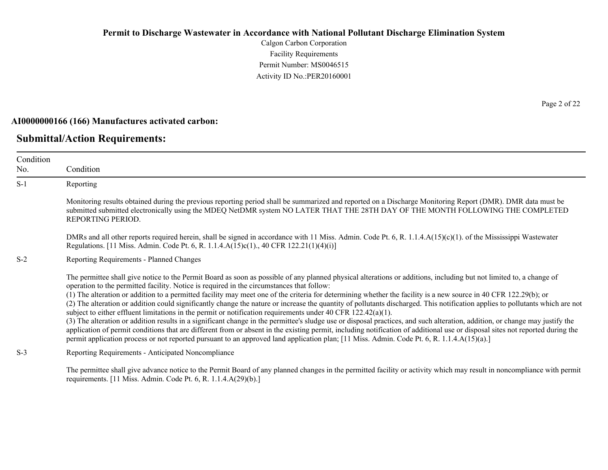Calgon Carbon Corporation Facility Requirements Permit Number: MS0046515 Activity ID No.:PER20160001

#### **AI0000000166 (166) Manufactures activated carbon:**

#### **Submittal/Action Requirements:**

Condition No. Condition S-1 Reporting Monitoring results obtained during the previous reporting period shall be summarized and reported on a Discharge Monitoring Report (DMR). DMR data must be submitted submitted electronically using the MDEQ NetDMR system NO LATER THAT THE 28TH DAY OF THE MONTH FOLLOWING THE COMPLETED REPORTING PERIOD. DMRs and all other reports required herein, shall be signed in accordance with 11 Miss. Admin. Code Pt. 6, R. 1.1.4.A(15)(c)(1). of the Mississippi Wastewater Regulations. [11 Miss. Admin. Code Pt. 6, R. 1.1.4.A(15)c(1)., 40 CFR 122.21(1)(4)(i)] S-2 Reporting Requirements - Planned Changes The permittee shall give notice to the Permit Board as soon as possible of any planned physical alterations or additions, including but not limited to, a change of operation to the permitted facility. Notice is required in the circumstances that follow: (1) The alteration or addition to a permitted facility may meet one of the criteria for determining whether the facility is a new source in 40 CFR 122.29(b); or (2) The alteration or addition could significantly change the nature or increase the quantity of pollutants discharged. This notification applies to pollutants which are not subject to either effluent limitations in the permit or notification requirements under 40 CFR 122.42(a)(1). (3) The alteration or addition results in a significant change in the permittee's sludge use or disposal practices, and such alteration, addition, or change may justify the application of permit conditions that are different from or absent in the existing permit, including notification of additional use or disposal sites not reported during the permit application process or not reported pursuant to an approved land application plan; [11 Miss. Admin. Code Pt. 6, R. 1.1.4.A(15)(a).] S-3 Reporting Requirements - Anticipated Noncompliance

The permittee shall give advance notice to the Permit Board of any planned changes in the permitted facility or activity which may result in noncompliance with permit requirements. [11 Miss. Admin. Code Pt. 6, R. 1.1.4.A(29)(b).]

Page 2 of 22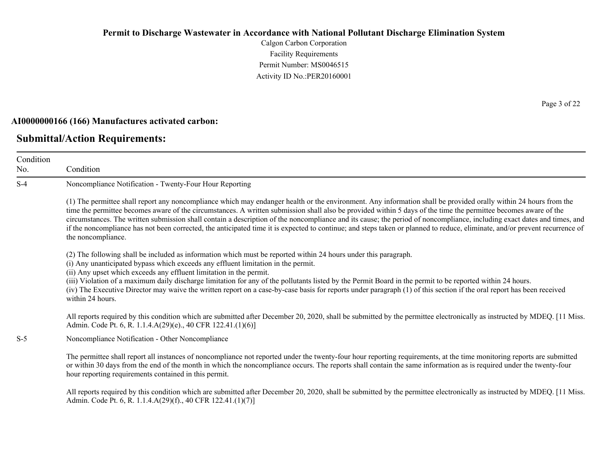Calgon Carbon Corporation Facility Requirements Permit Number: MS0046515 Activity ID No.:PER20160001

#### **AI0000000166 (166) Manufactures activated carbon:**

### **Submittal/Action Requirements:**

Condition No. Condition S-4 Noncompliance Notification - Twenty-Four Hour Reporting (1) The permittee shall report any noncompliance which may endanger health or the environment. Any information shall be provided orally within 24 hours from the time the permittee becomes aware of the circumstances. A written submission shall also be provided within 5 days of the time the permittee becomes aware of the circumstances. The written submission shall contain a description of the noncompliance and its cause; the period of noncompliance, including exact dates and times, and if the noncompliance has not been corrected, the anticipated time it is expected to continue; and steps taken or planned to reduce, eliminate, and/or prevent recurrence of the noncompliance. (2) The following shall be included as information which must be reported within 24 hours under this paragraph. (i) Any unanticipated bypass which exceeds any effluent limitation in the permit. (ii) Any upset which exceeds any effluent limitation in the permit. (iii) Violation of a maximum daily discharge limitation for any of the pollutants listed by the Permit Board in the permit to be reported within 24 hours. (iv) The Executive Director may waive the written report on a case-by-case basis for reports under paragraph (1) of this section if the oral report has been received within 24 hours. All reports required by this condition which are submitted after December 20, 2020, shall be submitted by the permittee electronically as instructed by MDEQ. [11 Miss. Admin. Code Pt. 6, R. 1.1.4.A(29)(e)., 40 CFR 122.41.(1)(6)] S-5 Noncompliance Notification - Other Noncompliance The permittee shall report all instances of noncompliance not reported under the twenty-four hour reporting requirements, at the time monitoring reports are submitted or within 30 days from the end of the month in which the noncompliance occurs. The reports shall contain the same information as is required under the twenty-four hour reporting requirements contained in this permit.

All reports required by this condition which are submitted after December 20, 2020, shall be submitted by the permittee electronically as instructed by MDEQ. [11 Miss.] Admin. Code Pt. 6, R. 1.1.4.A(29)(f)., 40 CFR 122.41.(1)(7)]

Page 3 of 22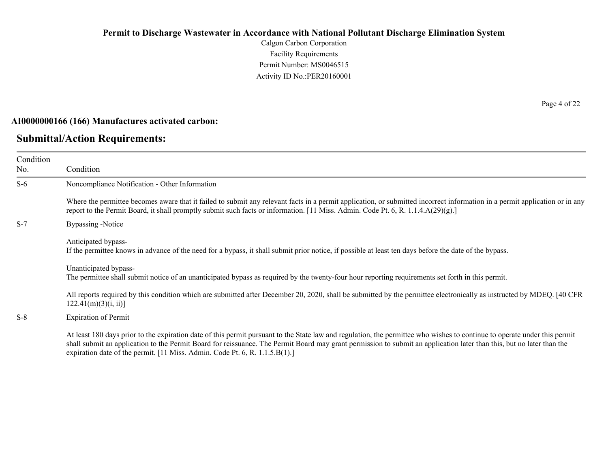Calgon Carbon Corporation Facility Requirements Permit Number: MS0046515 Activity ID No.:PER20160001

#### **AI0000000166 (166) Manufactures activated carbon:**

#### **Submittal/Action Requirements:**

Condition No.

Condition S-6 Noncompliance Notification - Other Information Where the permittee becomes aware that it failed to submit any relevant facts in a permit application, or submitted incorrect information in a permit application or in any report to the Permit Board, it shall promptly submit such facts or information. [11 Miss. Admin. Code Pt. 6, R. 1.1.4.A(29)(g).] S-7 Bypassing -Notice Anticipated bypass-If the permittee knows in advance of the need for a bypass, it shall submit prior notice, if possible at least ten days before the date of the bypass.

Unanticipated bypass-

The permittee shall submit notice of an unanticipated bypass as required by the twenty-four hour reporting requirements set forth in this permit.

All reports required by this condition which are submitted after December 20, 2020, shall be submitted by the permittee electronically as instructed by MDEQ. [40 CFR  $122.41(m)(3)(i, ii)$ ]

S-8 Expiration of Permit

At least 180 days prior to the expiration date of this permit pursuant to the State law and regulation, the permittee who wishes to continue to operate under this permit shall submit an application to the Permit Board for reissuance. The Permit Board may grant permission to submit an application later than this, but no later than the expiration date of the permit. [11 Miss. Admin. Code Pt. 6, R. 1.1.5.B(1).]

Page 4 of 22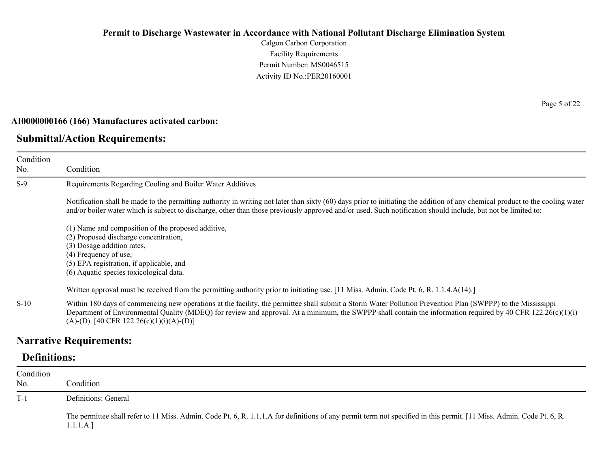Calgon Carbon Corporation Facility Requirements Permit Number: MS0046515 Activity ID No.:PER20160001

#### **AI0000000166 (166) Manufactures activated carbon:**

### **Submittal/Action Requirements:**

Condition No. Condition S-9 Requirements Regarding Cooling and Boiler Water Additives Notification shall be made to the permitting authority in writing not later than sixty (60) days prior to initiating the addition of any chemical product to the cooling water and/or boiler water which is subject to discharge, other than those previously approved and/or used. Such notification should include, but not be limited to: (1) Name and composition of the proposed additive, (2) Proposed discharge concentration, (3) Dosage addition rates, (4) Frequency of use, (5) EPA registration, if applicable, and (6) Aquatic species toxicological data. Written approval must be received from the permitting authority prior to initiating use. [11 Miss. Admin. Code Pt. 6, R. 1.1.4.A(14).] S-10 Within 180 days of commencing new operations at the facility, the permittee shall submit a Storm Water Pollution Prevention Plan (SWPPP) to the Mississippi

## Department of Environmental Quality (MDEQ) for review and approval. At a minimum, the SWPPP shall contain the information required by 40 CFR 122.26(c)(1)(i)  $(A)$ -(D). [40 CFR 122.26(c)(1)(i)(A)-(D)]

### **Narrative Requirements:**

### **Definitions:**

| Condition<br>No. | Condition                                                                                                                                                                         |
|------------------|-----------------------------------------------------------------------------------------------------------------------------------------------------------------------------------|
| $T-1$            | Definitions: General                                                                                                                                                              |
|                  | The permittee shall refer to 11 Miss. Admin. Code Pt. 6, R. 1.1.1.A for definitions of any permit term not specified in this permit. [11 Miss. Admin. Code Pt. 6, R.<br>1.1.1.A.] |

Page 5 of 22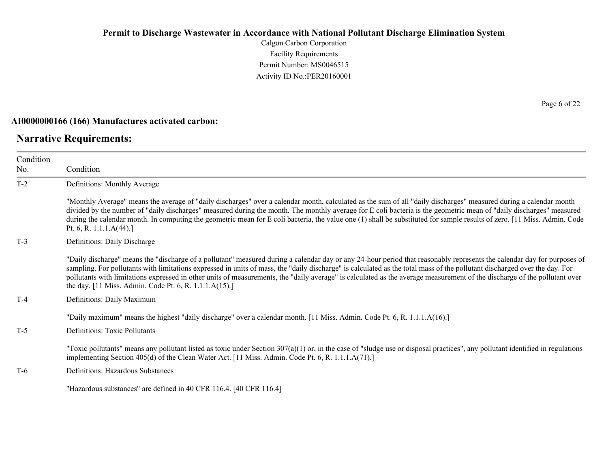Calgon Carbon Corporation Facility Requirements Permit Number: MS0046515 Activity ID No.:PER20160001

#### **AI0000000166 (166) Manufactures activated carbon:**

### **Narrative Requirements:**

Page 6 of 22

| Condition<br>No. | Condition                                                                                                                                                                                                                                                                                                                                                                                                                                                                                                                                                                                   |
|------------------|---------------------------------------------------------------------------------------------------------------------------------------------------------------------------------------------------------------------------------------------------------------------------------------------------------------------------------------------------------------------------------------------------------------------------------------------------------------------------------------------------------------------------------------------------------------------------------------------|
| $T-2$            | Definitions: Monthly Average                                                                                                                                                                                                                                                                                                                                                                                                                                                                                                                                                                |
|                  | "Monthly Average" means the average of "daily discharges" over a calendar month, calculated as the sum of all "daily discharges" measured during a calendar month<br>divided by the number of "daily discharges" measured during the month. The monthly average for E coli bacteria is the geometric mean of "daily discharges" measured<br>during the calendar month. In computing the geometric mean for E coli bacteria, the value one (1) shall be substituted for sample results of zero. [11 Miss. Admin. Code<br>Pt. 6, R. $1.1.1.A(44).$                                            |
| $T-3$            | Definitions: Daily Discharge                                                                                                                                                                                                                                                                                                                                                                                                                                                                                                                                                                |
|                  | "Daily discharge" means the "discharge of a pollutant" measured during a calendar day or any 24-hour period that reasonably represents the calendar day for purposes of<br>sampling. For pollutants with limitations expressed in units of mass, the "daily discharge" is calculated as the total mass of the pollutant discharged over the day. For<br>pollutants with limitations expressed in other units of measurements, the "daily average" is calculated as the average measurement of the discharge of the pollutant over<br>the day. [11 Miss. Admin. Code Pt. 6, R. 1.1.1.A(15).] |
| $T-4$            | Definitions: Daily Maximum                                                                                                                                                                                                                                                                                                                                                                                                                                                                                                                                                                  |
| $T-5$            | "Daily maximum" means the highest "daily discharge" over a calendar month. [11 Miss. Admin. Code Pt. 6, R. 1.1.1.A(16).]<br>Definitions: Toxic Pollutants                                                                                                                                                                                                                                                                                                                                                                                                                                   |
|                  | "Toxic pollutants" means any pollutant listed as toxic under Section $307(a)(1)$ or, in the case of "sludge use or disposal practices", any pollutant identified in regulations<br>implementing Section 405(d) of the Clean Water Act. [11 Miss. Admin. Code Pt. 6, R. 1.1.1.A(71).]                                                                                                                                                                                                                                                                                                        |
| $T-6$            | Definitions: Hazardous Substances                                                                                                                                                                                                                                                                                                                                                                                                                                                                                                                                                           |
|                  | "Hazardous substances" are defined in 40 CFR 116.4. [40 CFR 116.4]                                                                                                                                                                                                                                                                                                                                                                                                                                                                                                                          |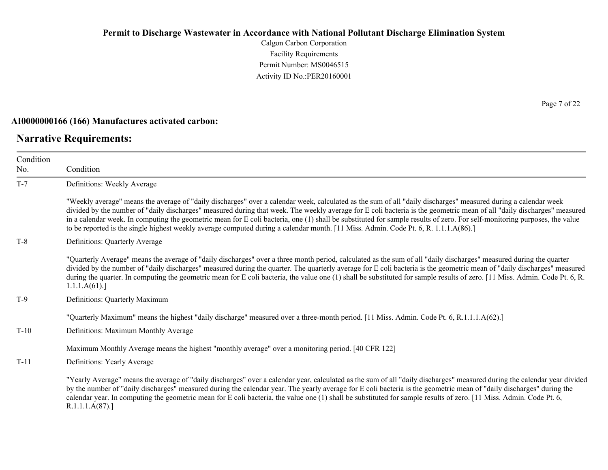Calgon Carbon Corporation Facility Requirements Permit Number: MS0046515 Activity ID No.:PER20160001

### **AI0000000166 (166) Manufactures activated carbon:**

### **Narrative Requirements:**

Page 7 of 22

| Condition |                                                                                                                                                                                                                                                                                                                                                                                                                                                                                                                                                                                                                                                              |
|-----------|--------------------------------------------------------------------------------------------------------------------------------------------------------------------------------------------------------------------------------------------------------------------------------------------------------------------------------------------------------------------------------------------------------------------------------------------------------------------------------------------------------------------------------------------------------------------------------------------------------------------------------------------------------------|
| No.       | Condition                                                                                                                                                                                                                                                                                                                                                                                                                                                                                                                                                                                                                                                    |
| $T-7$     | Definitions: Weekly Average                                                                                                                                                                                                                                                                                                                                                                                                                                                                                                                                                                                                                                  |
|           | "Weekly average" means the average of "daily discharges" over a calendar week, calculated as the sum of all "daily discharges" measured during a calendar week<br>divided by the number of "daily discharges" measured during that week. The weekly average for E coli bacteria is the geometric mean of all "daily discharges" measured<br>in a calendar week. In computing the geometric mean for E coli bacteria, one (1) shall be substituted for sample results of zero. For self-monitoring purposes, the value<br>to be reported is the single highest weekly average computed during a calendar month. [11 Miss. Admin. Code Pt. 6, R. 1.1.1.A(86).] |
| $T-8$     | Definitions: Quarterly Average                                                                                                                                                                                                                                                                                                                                                                                                                                                                                                                                                                                                                               |
|           | "Quarterly Average" means the average of "daily discharges" over a three month period, calculated as the sum of all "daily discharges" measured during the quarter<br>divided by the number of "daily discharges" measured during the quarter. The quarterly average for E coli bacteria is the geometric mean of "daily discharges" measured<br>during the quarter. In computing the geometric mean for E coli bacteria, the value one (1) shall be substituted for sample results of zero. [11 Miss. Admin. Code Pt. 6, R.<br>1.1.1.A(61).                                                                                                                 |
| $T-9$     | Definitions: Quarterly Maximum                                                                                                                                                                                                                                                                                                                                                                                                                                                                                                                                                                                                                               |
|           | "Quarterly Maximum" means the highest "daily discharge" measured over a three-month period. [11 Miss. Admin. Code Pt. 6, R.1.1.1.A(62).]                                                                                                                                                                                                                                                                                                                                                                                                                                                                                                                     |
| $T-10$    | Definitions: Maximum Monthly Average                                                                                                                                                                                                                                                                                                                                                                                                                                                                                                                                                                                                                         |
|           | Maximum Monthly Average means the highest "monthly average" over a monitoring period. [40 CFR 122]                                                                                                                                                                                                                                                                                                                                                                                                                                                                                                                                                           |
| $T-11$    | Definitions: Yearly Average                                                                                                                                                                                                                                                                                                                                                                                                                                                                                                                                                                                                                                  |
|           | "Yearly Average" means the average of "daily discharges" over a calendar year, calculated as the sum of all "daily discharges" measured during the calendar year divided<br>by the number of "daily discharges" measured during the calendar year. The yearly average for E coli bacteria is the geometric mean of "daily discharges" during the<br>calendar year. In computing the geometric mean for E coli bacteria, the value one (1) shall be substituted for sample results of zero. [11 Miss. Admin. Code Pt. 6,<br>R.1.1.1.A(87).                                                                                                                    |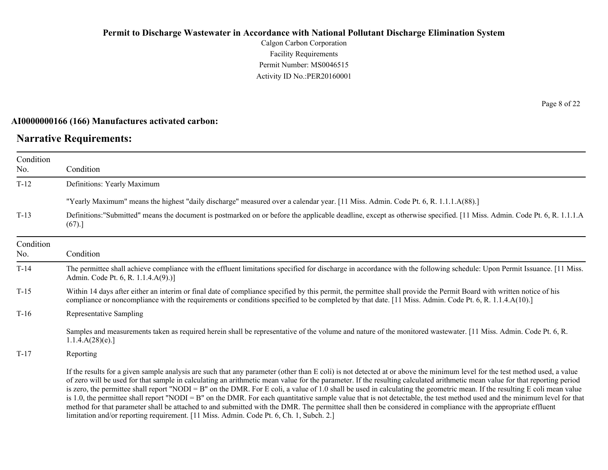Calgon Carbon Corporation Facility Requirements Permit Number: MS0046515 Activity ID No.:PER20160001

#### **AI0000000166 (166) Manufactures activated carbon:**

### **Narrative Requirements:**

Page 8 of 22

| Condition |                                                                                                                                                                                                                                                                                                                                                                                                                                                                                                                                                                                                                                                                                                                                                                                                                                                                                                                                                                                |
|-----------|--------------------------------------------------------------------------------------------------------------------------------------------------------------------------------------------------------------------------------------------------------------------------------------------------------------------------------------------------------------------------------------------------------------------------------------------------------------------------------------------------------------------------------------------------------------------------------------------------------------------------------------------------------------------------------------------------------------------------------------------------------------------------------------------------------------------------------------------------------------------------------------------------------------------------------------------------------------------------------|
| No.       | Condition                                                                                                                                                                                                                                                                                                                                                                                                                                                                                                                                                                                                                                                                                                                                                                                                                                                                                                                                                                      |
| $T-12$    | Definitions: Yearly Maximum                                                                                                                                                                                                                                                                                                                                                                                                                                                                                                                                                                                                                                                                                                                                                                                                                                                                                                                                                    |
|           | "Yearly Maximum" means the highest "daily discharge" measured over a calendar year. [11 Miss. Admin. Code Pt. 6, R. 1.1.1.A(88).]                                                                                                                                                                                                                                                                                                                                                                                                                                                                                                                                                                                                                                                                                                                                                                                                                                              |
| $T-13$    | Definitions:"Submitted" means the document is postmarked on or before the applicable deadline, except as otherwise specified. [11 Miss. Admin. Code Pt. 6, R. 1.1.1.A<br>(67).]                                                                                                                                                                                                                                                                                                                                                                                                                                                                                                                                                                                                                                                                                                                                                                                                |
| Condition |                                                                                                                                                                                                                                                                                                                                                                                                                                                                                                                                                                                                                                                                                                                                                                                                                                                                                                                                                                                |
| No.       | Condition                                                                                                                                                                                                                                                                                                                                                                                                                                                                                                                                                                                                                                                                                                                                                                                                                                                                                                                                                                      |
| $T-14$    | The permittee shall achieve compliance with the effluent limitations specified for discharge in accordance with the following schedule: Upon Permit Issuance. [11 Miss.<br>Admin. Code Pt. 6, R. 1.1.4.A(9).)]                                                                                                                                                                                                                                                                                                                                                                                                                                                                                                                                                                                                                                                                                                                                                                 |
| $T-15$    | Within 14 days after either an interim or final date of compliance specified by this permit, the permittee shall provide the Permit Board with written notice of his<br>compliance or noncompliance with the requirements or conditions specified to be completed by that date. [11 Miss. Admin. Code Pt. 6, R. 1.1.4.A(10).]                                                                                                                                                                                                                                                                                                                                                                                                                                                                                                                                                                                                                                                  |
| $T-16$    | Representative Sampling                                                                                                                                                                                                                                                                                                                                                                                                                                                                                                                                                                                                                                                                                                                                                                                                                                                                                                                                                        |
|           | Samples and measurements taken as required herein shall be representative of the volume and nature of the monitored wastewater. [11 Miss. Admin. Code Pt. 6, R.<br>1.1.4.A(28)(e).                                                                                                                                                                                                                                                                                                                                                                                                                                                                                                                                                                                                                                                                                                                                                                                             |
| $T-17$    | Reporting                                                                                                                                                                                                                                                                                                                                                                                                                                                                                                                                                                                                                                                                                                                                                                                                                                                                                                                                                                      |
|           | If the results for a given sample analysis are such that any parameter (other than E coli) is not detected at or above the minimum level for the test method used, a value<br>of zero will be used for that sample in calculating an arithmetic mean value for the parameter. If the resulting calculated arithmetic mean value for that reporting period<br>is zero, the permittee shall report "NODI = B" on the DMR. For E coli, a value of 1.0 shall be used in calculating the geometric mean. If the resulting E coli mean value<br>is 1.0, the permittee shall report "NODI = B" on the DMR. For each quantitative sample value that is not detectable, the test method used and the minimum level for that<br>method for that parameter shall be attached to and submitted with the DMR. The permittee shall then be considered in compliance with the appropriate effluent<br>limitation and/or reporting requirement. [11 Miss. Admin. Code Pt. 6, Ch. 1, Subch. 2.] |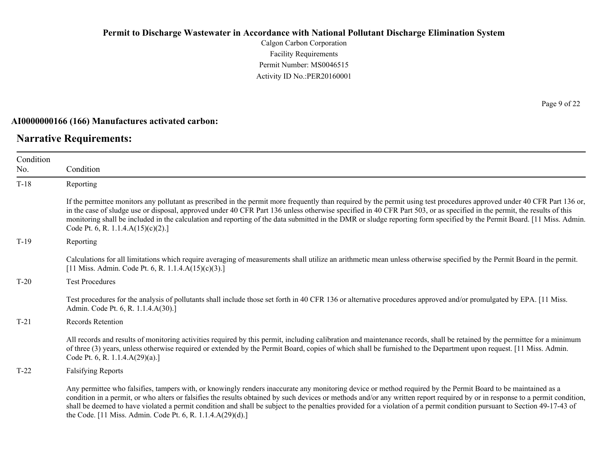Calgon Carbon Corporation Facility Requirements Permit Number: MS0046515 Activity ID No.:PER20160001

#### **AI0000000166 (166) Manufactures activated carbon:**

# **Narrative Requirements:**

| Condition |                                                                                                                                                                                                                                                                                                                                                                                                                                                                                                                                                                                          |
|-----------|------------------------------------------------------------------------------------------------------------------------------------------------------------------------------------------------------------------------------------------------------------------------------------------------------------------------------------------------------------------------------------------------------------------------------------------------------------------------------------------------------------------------------------------------------------------------------------------|
| No.       | Condition                                                                                                                                                                                                                                                                                                                                                                                                                                                                                                                                                                                |
| $T-18$    | Reporting                                                                                                                                                                                                                                                                                                                                                                                                                                                                                                                                                                                |
|           | If the permittee monitors any pollutant as prescribed in the permit more frequently than required by the permit using test procedures approved under 40 CFR Part 136 or,<br>in the case of sludge use or disposal, approved under 40 CFR Part 136 unless otherwise specified in 40 CFR Part 503, or as specified in the permit, the results of this<br>monitoring shall be included in the calculation and reporting of the data submitted in the DMR or sludge reporting form specified by the Permit Board. [11 Miss. Admin.<br>Code Pt. 6, R. 1.1.4. $A(15)(c)(2)$ .]                 |
| $T-19$    | Reporting                                                                                                                                                                                                                                                                                                                                                                                                                                                                                                                                                                                |
|           | Calculations for all limitations which require averaging of measurements shall utilize an arithmetic mean unless otherwise specified by the Permit Board in the permit.<br>[11 Miss. Admin. Code Pt. 6, R. 1.1.4.A $(15)(c)(3)$ .]                                                                                                                                                                                                                                                                                                                                                       |
| $T-20$    | <b>Test Procedures</b>                                                                                                                                                                                                                                                                                                                                                                                                                                                                                                                                                                   |
|           | Test procedures for the analysis of pollutants shall include those set forth in 40 CFR 136 or alternative procedures approved and/or promulgated by EPA. [11 Miss.]<br>Admin. Code Pt. 6, R. 1.1.4.A(30).]                                                                                                                                                                                                                                                                                                                                                                               |
| $T-21$    | Records Retention                                                                                                                                                                                                                                                                                                                                                                                                                                                                                                                                                                        |
|           | All records and results of monitoring activities required by this permit, including calibration and maintenance records, shall be retained by the permittee for a minimum<br>of three (3) years, unless otherwise required or extended by the Permit Board, copies of which shall be furnished to the Department upon request. [11 Miss. Admin.<br>Code Pt. 6, R. 1.1.4.A(29)(a).]                                                                                                                                                                                                       |
| $T-22$    | <b>Falsifying Reports</b>                                                                                                                                                                                                                                                                                                                                                                                                                                                                                                                                                                |
|           | Any permittee who falsifies, tampers with, or knowingly renders inaccurate any monitoring device or method required by the Permit Board to be maintained as a<br>condition in a permit, or who alters or falsifies the results obtained by such devices or methods and/or any written report required by or in response to a permit condition,<br>shall be deemed to have violated a permit condition and shall be subject to the penalties provided for a violation of a permit condition pursuant to Section 49-17-43 of<br>the Code. [11 Miss. Admin. Code Pt. 6, R. 1.1.4.A(29)(d).] |

Page 9 of 22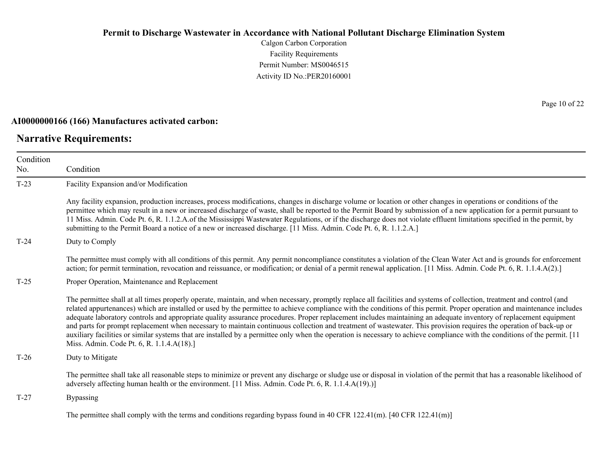Calgon Carbon Corporation Facility Requirements Permit Number: MS0046515 Activity ID No.:PER20160001

#### **AI0000000166 (166) Manufactures activated carbon:**

### **Narrative Requirements:**

Page 10 of 22

| Condition |                                                                                                                                                                                                                                                                                                                                                                                                                                                                                                                                                                                                                                                                                                                                                                                                                                                                                                                           |  |  |
|-----------|---------------------------------------------------------------------------------------------------------------------------------------------------------------------------------------------------------------------------------------------------------------------------------------------------------------------------------------------------------------------------------------------------------------------------------------------------------------------------------------------------------------------------------------------------------------------------------------------------------------------------------------------------------------------------------------------------------------------------------------------------------------------------------------------------------------------------------------------------------------------------------------------------------------------------|--|--|
| No.       | Condition                                                                                                                                                                                                                                                                                                                                                                                                                                                                                                                                                                                                                                                                                                                                                                                                                                                                                                                 |  |  |
| $T-23$    | Facility Expansion and/or Modification                                                                                                                                                                                                                                                                                                                                                                                                                                                                                                                                                                                                                                                                                                                                                                                                                                                                                    |  |  |
|           | Any facility expansion, production increases, process modifications, changes in discharge volume or location or other changes in operations or conditions of the<br>permittee which may result in a new or increased discharge of waste, shall be reported to the Permit Board by submission of a new application for a permit pursuant to<br>11 Miss. Admin. Code Pt. 6, R. 1.1.2.A. of the Mississippi Wastewater Regulations, or if the discharge does not violate effluent limitations specified in the permit, by<br>submitting to the Permit Board a notice of a new or increased discharge. [11 Miss. Admin. Code Pt. 6, R. 1.1.2.A.]                                                                                                                                                                                                                                                                              |  |  |
| $T-24$    | Duty to Comply                                                                                                                                                                                                                                                                                                                                                                                                                                                                                                                                                                                                                                                                                                                                                                                                                                                                                                            |  |  |
|           | The permittee must comply with all conditions of this permit. Any permit noncompliance constitutes a violation of the Clean Water Act and is grounds for enforcement<br>action; for permit termination, revocation and reissuance, or modification; or denial of a permit renewal application. [11 Miss. Admin. Code Pt. 6, R. 1.1.4.A(2).]                                                                                                                                                                                                                                                                                                                                                                                                                                                                                                                                                                               |  |  |
| $T-25$    | Proper Operation, Maintenance and Replacement                                                                                                                                                                                                                                                                                                                                                                                                                                                                                                                                                                                                                                                                                                                                                                                                                                                                             |  |  |
|           | The permittee shall at all times properly operate, maintain, and when necessary, promptly replace all facilities and systems of collection, treatment and control (and<br>related appurtenances) which are installed or used by the permittee to achieve compliance with the conditions of this permit. Proper operation and maintenance includes<br>adequate laboratory controls and appropriate quality assurance procedures. Proper replacement includes maintaining an adequate inventory of replacement equipment<br>and parts for prompt replacement when necessary to maintain continuous collection and treatment of wastewater. This provision requires the operation of back-up or<br>auxiliary facilities or similar systems that are installed by a permittee only when the operation is necessary to achieve compliance with the conditions of the permit. [11]<br>Miss. Admin. Code Pt. 6, R. 1.1.4.A(18).] |  |  |
| $T-26$    | Duty to Mitigate                                                                                                                                                                                                                                                                                                                                                                                                                                                                                                                                                                                                                                                                                                                                                                                                                                                                                                          |  |  |
|           | The permittee shall take all reasonable steps to minimize or prevent any discharge or sludge use or disposal in violation of the permit that has a reasonable likelihood of<br>adversely affecting human health or the environment. [11 Miss. Admin. Code Pt. 6, R. 1.1.4.A(19).)]                                                                                                                                                                                                                                                                                                                                                                                                                                                                                                                                                                                                                                        |  |  |
| $T-27$    | <b>Bypassing</b>                                                                                                                                                                                                                                                                                                                                                                                                                                                                                                                                                                                                                                                                                                                                                                                                                                                                                                          |  |  |
|           | The permittee shall comply with the terms and conditions regarding bypass found in 40 CFR 122.41(m). [40 CFR 122.41(m)]                                                                                                                                                                                                                                                                                                                                                                                                                                                                                                                                                                                                                                                                                                                                                                                                   |  |  |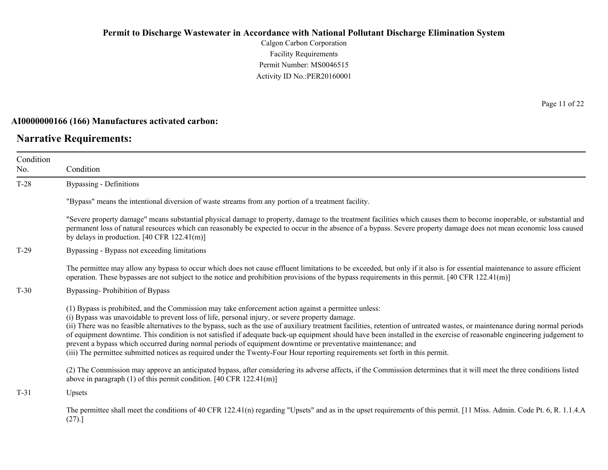Calgon Carbon Corporation Facility Requirements Permit Number: MS0046515 Activity ID No.:PER20160001

### **AI0000000166 (166) Manufactures activated carbon:**

### **Narrative Requirements:**

Page 11 of 22

| Condition |                                                                                                                                                                                                                                                                                                                                                                                                                                                                                                                                                                                                                                                                                                                                                                                                                     |  |  |
|-----------|---------------------------------------------------------------------------------------------------------------------------------------------------------------------------------------------------------------------------------------------------------------------------------------------------------------------------------------------------------------------------------------------------------------------------------------------------------------------------------------------------------------------------------------------------------------------------------------------------------------------------------------------------------------------------------------------------------------------------------------------------------------------------------------------------------------------|--|--|
| No.       | Condition                                                                                                                                                                                                                                                                                                                                                                                                                                                                                                                                                                                                                                                                                                                                                                                                           |  |  |
| $T-28$    | Bypassing - Definitions                                                                                                                                                                                                                                                                                                                                                                                                                                                                                                                                                                                                                                                                                                                                                                                             |  |  |
|           | "Bypass" means the intentional diversion of waste streams from any portion of a treatment facility.                                                                                                                                                                                                                                                                                                                                                                                                                                                                                                                                                                                                                                                                                                                 |  |  |
|           | "Severe property damage" means substantial physical damage to property, damage to the treatment facilities which causes them to become inoperable, or substantial and<br>permanent loss of natural resources which can reasonably be expected to occur in the absence of a bypass. Severe property damage does not mean economic loss caused<br>by delays in production. $[40 \text{ CFR } 122.41 \text{ (m)}]$                                                                                                                                                                                                                                                                                                                                                                                                     |  |  |
| $T-29$    | Bypassing - Bypass not exceeding limitations                                                                                                                                                                                                                                                                                                                                                                                                                                                                                                                                                                                                                                                                                                                                                                        |  |  |
|           | The permittee may allow any bypass to occur which does not cause effluent limitations to be exceeded, but only if it also is for essential maintenance to assure efficient<br>operation. These bypasses are not subject to the notice and prohibition provisions of the bypass requirements in this permit. $[40 \text{ CFR } 122.41 \text{ (m)}]$                                                                                                                                                                                                                                                                                                                                                                                                                                                                  |  |  |
| $T-30$    | Bypassing-Prohibition of Bypass                                                                                                                                                                                                                                                                                                                                                                                                                                                                                                                                                                                                                                                                                                                                                                                     |  |  |
|           | (1) Bypass is prohibited, and the Commission may take enforcement action against a permittee unless:<br>(i) Bypass was unavoidable to prevent loss of life, personal injury, or severe property damage.<br>(ii) There was no feasible alternatives to the bypass, such as the use of auxiliary treatment facilities, retention of untreated wastes, or maintenance during normal periods<br>of equipment downtime. This condition is not satisfied if adequate back-up equipment should have been installed in the exercise of reasonable engineering judgement to<br>prevent a bypass which occurred during normal periods of equipment downtime or preventative maintenance; and<br>(iii) The permittee submitted notices as required under the Twenty-Four Hour reporting requirements set forth in this permit. |  |  |
|           | (2) The Commission may approve an anticipated bypass, after considering its adverse affects, if the Commission determines that it will meet the three conditions listed<br>above in paragraph $(1)$ of this permit condition. [40 CFR 122.41(m)]                                                                                                                                                                                                                                                                                                                                                                                                                                                                                                                                                                    |  |  |
| $T-31$    | Upsets                                                                                                                                                                                                                                                                                                                                                                                                                                                                                                                                                                                                                                                                                                                                                                                                              |  |  |
|           | The permittee shall meet the conditions of 40 CFR 122.41(n) regarding "Upsets" and as in the upset requirements of this permit. [11 Miss. Admin. Code Pt. 6, R. 1.1.4.A<br>(27).                                                                                                                                                                                                                                                                                                                                                                                                                                                                                                                                                                                                                                    |  |  |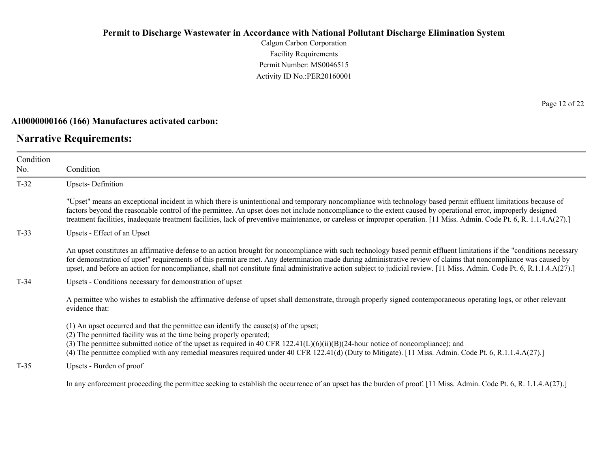Calgon Carbon Corporation Facility Requirements Permit Number: MS0046515 Activity ID No.:PER20160001

### **AI0000000166 (166) Manufactures activated carbon:**

### **Narrative Requirements:**

Page 12 of 22

| Condition<br>No. | Condition                                                                                                                                                                                                                                                                                                                                                                                                                                                                                                             |  |  |
|------------------|-----------------------------------------------------------------------------------------------------------------------------------------------------------------------------------------------------------------------------------------------------------------------------------------------------------------------------------------------------------------------------------------------------------------------------------------------------------------------------------------------------------------------|--|--|
| $T-32$           | <b>Upsets-Definition</b>                                                                                                                                                                                                                                                                                                                                                                                                                                                                                              |  |  |
|                  | "Upset" means an exceptional incident in which there is unintentional and temporary noncompliance with technology based permit effluent limitations because of<br>factors beyond the reasonable control of the permittee. An upset does not include noncompliance to the extent caused by operational error, improperly designed<br>treatment facilities, inadequate treatment facilities, lack of preventive maintenance, or careless or improper operation. [11 Miss. Admin. Code Pt. 6, R. 1.1.4.A(27).]           |  |  |
| $T-33$           | Upsets - Effect of an Upset                                                                                                                                                                                                                                                                                                                                                                                                                                                                                           |  |  |
|                  | An upset constitutes an affirmative defense to an action brought for noncompliance with such technology based permit effluent limitations if the "conditions necessary<br>for demonstration of upset" requirements of this permit are met. Any determination made during administrative review of claims that noncompliance was caused by<br>upset, and before an action for noncompliance, shall not constitute final administrative action subject to judicial review. [11 Miss. Admin. Code Pt. 6, R.1.1.4.A(27).] |  |  |
| $T-34$           | Upsets - Conditions necessary for demonstration of upset                                                                                                                                                                                                                                                                                                                                                                                                                                                              |  |  |
|                  | A permittee who wishes to establish the affirmative defense of upset shall demonstrate, through properly signed contemporaneous operating logs, or other relevant<br>evidence that:                                                                                                                                                                                                                                                                                                                                   |  |  |
|                  | $(1)$ An upset occurred and that the permittee can identify the cause(s) of the upset;<br>(2) The permitted facility was at the time being properly operated;<br>(3) The permittee submitted notice of the upset as required in 40 CFR $122.41(L)(6)(ii)(B)(24-hour notice of noncompliance)$ ; and<br>(4) The permittee complied with any remedial measures required under 40 CFR 122.41(d) (Duty to Mitigate). [11 Miss. Admin. Code Pt. 6, R.1.1.4.A(27).]                                                         |  |  |
| $T-35$           | Upsets - Burden of proof                                                                                                                                                                                                                                                                                                                                                                                                                                                                                              |  |  |
|                  | In any enforcement proceeding the permittee seeking to establish the occurrence of an upset has the burden of proof. [11 Miss. Admin. Code Pt. 6, R. 1.1.4.A(27).]                                                                                                                                                                                                                                                                                                                                                    |  |  |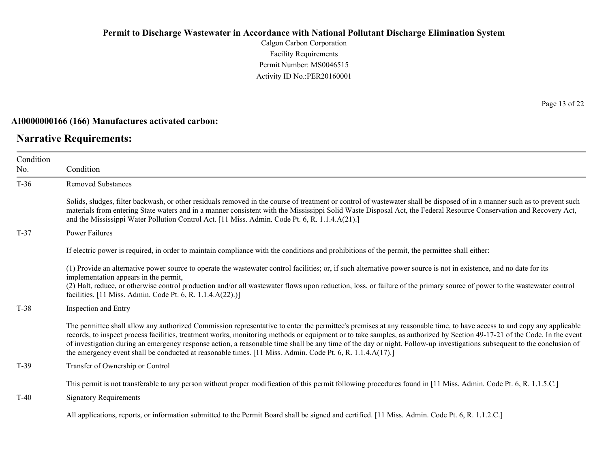Calgon Carbon Corporation Facility Requirements Permit Number: MS0046515 Activity ID No.:PER20160001

#### **AI0000000166 (166) Manufactures activated carbon:**

### **Narrative Requirements:**

Page 13 of 22

| Condition<br>No. | Condition                                                                                                                                                                                                                                                                                                                                                                                                                                                                                                                                                                                                                                  |
|------------------|--------------------------------------------------------------------------------------------------------------------------------------------------------------------------------------------------------------------------------------------------------------------------------------------------------------------------------------------------------------------------------------------------------------------------------------------------------------------------------------------------------------------------------------------------------------------------------------------------------------------------------------------|
| $T-36$           | <b>Removed Substances</b>                                                                                                                                                                                                                                                                                                                                                                                                                                                                                                                                                                                                                  |
|                  | Solids, sludges, filter backwash, or other residuals removed in the course of treatment or control of wastewater shall be disposed of in a manner such as to prevent such<br>materials from entering State waters and in a manner consistent with the Mississippi Solid Waste Disposal Act, the Federal Resource Conservation and Recovery Act,<br>and the Mississippi Water Pollution Control Act. [11 Miss. Admin. Code Pt. 6, R. 1.1.4.A(21).]                                                                                                                                                                                          |
| $T-37$           | Power Failures                                                                                                                                                                                                                                                                                                                                                                                                                                                                                                                                                                                                                             |
|                  | If electric power is required, in order to maintain compliance with the conditions and prohibitions of the permit, the permittee shall either:                                                                                                                                                                                                                                                                                                                                                                                                                                                                                             |
|                  | (1) Provide an alternative power source to operate the wastewater control facilities; or, if such alternative power source is not in existence, and no date for its<br>implementation appears in the permit,<br>(2) Halt, reduce, or otherwise control production and/or all wastewater flows upon reduction, loss, or failure of the primary source of power to the wastewater control<br>facilities. [11 Miss. Admin. Code Pt. 6, R. 1.1.4.A(22).)]                                                                                                                                                                                      |
| $T-38$           | Inspection and Entry                                                                                                                                                                                                                                                                                                                                                                                                                                                                                                                                                                                                                       |
|                  | The permittee shall allow any authorized Commission representative to enter the permittee's premises at any reasonable time, to have access to and copy any applicable<br>records, to inspect process facilities, treatment works, monitoring methods or equipment or to take samples, as authorized by Section 49-17-21 of the Code. In the event<br>of investigation during an emergency response action, a reasonable time shall be any time of the day or night. Follow-up investigations subsequent to the conclusion of<br>the emergency event shall be conducted at reasonable times. [11 Miss. Admin. Code Pt. 6, R. 1.1.4.A(17).] |
| $T-39$           | Transfer of Ownership or Control                                                                                                                                                                                                                                                                                                                                                                                                                                                                                                                                                                                                           |
|                  | This permit is not transferable to any person without proper modification of this permit following procedures found in [11 Miss. Admin. Code Pt. 6, R. 1.1.5.C.]                                                                                                                                                                                                                                                                                                                                                                                                                                                                           |
| $T-40$           | <b>Signatory Requirements</b>                                                                                                                                                                                                                                                                                                                                                                                                                                                                                                                                                                                                              |
|                  | All applications, reports, or information submitted to the Permit Board shall be signed and certified. [11 Miss. Admin. Code Pt. 6, R. 1.1.2.C.]                                                                                                                                                                                                                                                                                                                                                                                                                                                                                           |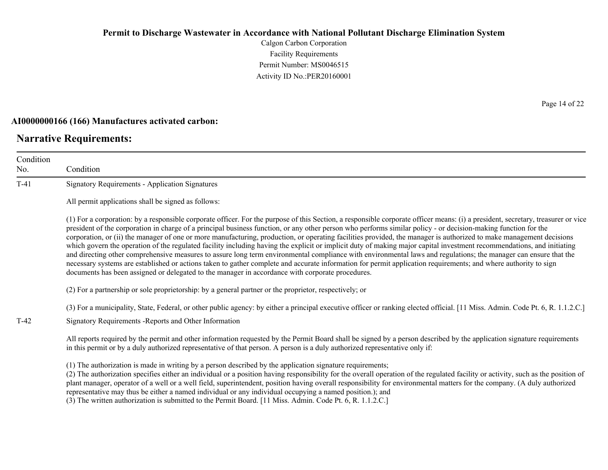Calgon Carbon Corporation Facility Requirements Permit Number: MS0046515 Activity ID No.:PER20160001

#### **AI0000000166 (166) Manufactures activated carbon:**

### **Narrative Requirements:**

No.

Condition Condition T-41 Signatory Requirements - Application Signatures All permit applications shall be signed as follows: (1) For a corporation: by a responsible corporate officer. For the purpose of this Section, a responsible corporate officer means: (i) a president, secretary, treasurer or vice president of the corporation in charge of a principal business function, or any other person who performs similar policy - or decision-making function for the corporation, or (ii) the manager of one or more manufacturing, production, or operating facilities provided, the manager is authorized to make management decisions which govern the operation of the regulated facility including having the explicit or implicit duty of making major capital investment recommendations, and initiating and directing other comprehensive measures to assure long term environmental compliance with environmental laws and regulations; the manager can ensure that the necessary systems are established or actions taken to gather complete and accurate information for permit application requirements; and where authority to sign documents has been assigned or delegated to the manager in accordance with corporate procedures. (2) For a partnership or sole proprietorship: by a general partner or the proprietor, respectively; or (3) For a municipality, State, Federal, or other public agency: by either a principal executive officer or ranking elected official. [11 Miss. Admin. Code Pt. 6, R. 1.1.2.C.] T-42 Signatory Requirements -Reports and Other Information All reports required by the permit and other information requested by the Permit Board shall be signed by a person described by the application signature requirements in this permit or by a duly authorized representative of that person. A person is a duly authorized representative only if: (1) The authorization is made in writing by a person described by the application signature requirements; (2) The authorization specifies either an individual or a position having responsibility for the overall operation of the regulated facility or activity, such as the position of

plant manager, operator of a well or a well field, superintendent, position having overall responsibility for environmental matters for the company. (A duly authorized representative may thus be either a named individual or any individual occupying a named position.); and

(3) The written authorization is submitted to the Permit Board. [11 Miss. Admin. Code Pt. 6, R. 1.1.2.C.]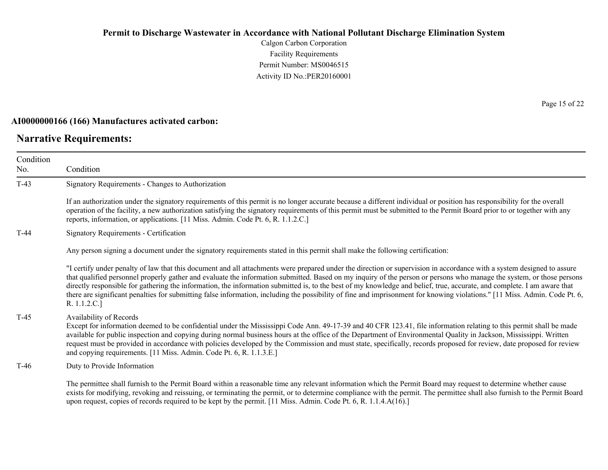Calgon Carbon Corporation Facility Requirements Permit Number: MS0046515 Activity ID No.:PER20160001

#### **AI0000000166 (166) Manufactures activated carbon:**

#### **Narrative Requirements:**

No.

Condition Condition T-43 Signatory Requirements - Changes to Authorization If an authorization under the signatory requirements of this permit is no longer accurate because a different individual or position has responsibility for the overall operation of the facility, a new authorization satisfying the signatory requirements of this permit must be submitted to the Permit Board prior to or together with any reports, information, or applications. [11 Miss. Admin. Code Pt. 6, R. 1.1.2.C.] T-44 Signatory Requirements - Certification Any person signing a document under the signatory requirements stated in this permit shall make the following certification: "I certify under penalty of law that this document and all attachments were prepared under the direction or supervision in accordance with a system designed to assure that qualified personnel properly gather and evaluate the information submitted. Based on my inquiry of the person or persons who manage the system, or those persons directly responsible for gathering the information, the information submitted is, to the best of my knowledge and belief, true, accurate, and complete. I am aware that there are significant penalties for submitting false information, including the possibility of fine and imprisonment for knowing violations." [11 Miss. Admin. Code Pt. 6, R. 1.1.2.C.] T-45 Availability of Records Except for information deemed to be confidential under the Mississippi Code Ann. 49-17-39 and 40 CFR 123.41, file information relating to this permit shall be made available for public inspection and copying during normal business hours at the office of the Department of Environmental Quality in Jackson, Mississippi. Written request must be provided in accordance with policies developed by the Commission and must state, specifically, records proposed for review, date proposed for review and copying requirements. [11 Miss. Admin. Code Pt. 6, R. 1.1.3.E.] T-46 Duty to Provide Information The permittee shall furnish to the Permit Board within a reasonable time any relevant information which the Permit Board may request to determine whether cause

exists for modifying, revoking and reissuing, or terminating the permit, or to determine compliance with the permit. The permittee shall also furnish to the Permit Board upon request, copies of records required to be kept by the permit. [11 Miss. Admin. Code Pt. 6, R. 1.1.4.A(16).]

Page 15 of 22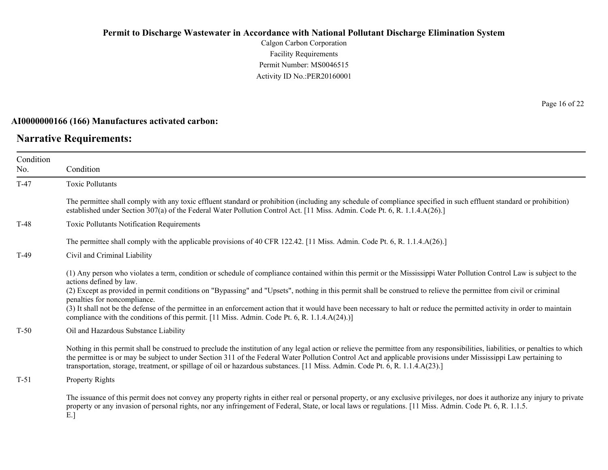Calgon Carbon Corporation Facility Requirements Permit Number: MS0046515 Activity ID No.:PER20160001

### **AI0000000166 (166) Manufactures activated carbon:**

### **Narrative Requirements:**

Page 16 of 22

| Condition<br>No. | Condition                                                                                                                                                                                                                                                                                                                                                                                                                                                                             |  |  |
|------------------|---------------------------------------------------------------------------------------------------------------------------------------------------------------------------------------------------------------------------------------------------------------------------------------------------------------------------------------------------------------------------------------------------------------------------------------------------------------------------------------|--|--|
|                  |                                                                                                                                                                                                                                                                                                                                                                                                                                                                                       |  |  |
| $T-47$           | <b>Toxic Pollutants</b>                                                                                                                                                                                                                                                                                                                                                                                                                                                               |  |  |
|                  | The permittee shall comply with any toxic effluent standard or prohibition (including any schedule of compliance specified in such effluent standard or prohibition)<br>established under Section 307(a) of the Federal Water Pollution Control Act. [11 Miss. Admin. Code Pt. 6, R. 1.1.4.A(26).]                                                                                                                                                                                    |  |  |
| $T-48$           | <b>Toxic Pollutants Notification Requirements</b>                                                                                                                                                                                                                                                                                                                                                                                                                                     |  |  |
|                  | The permittee shall comply with the applicable provisions of 40 CFR 122.42. [11 Miss. Admin. Code Pt. 6, R. 1.1.4.A(26).]                                                                                                                                                                                                                                                                                                                                                             |  |  |
| $T-49$           | Civil and Criminal Liability                                                                                                                                                                                                                                                                                                                                                                                                                                                          |  |  |
|                  | (1) Any person who violates a term, condition or schedule of compliance contained within this permit or the Mississippi Water Pollution Control Law is subject to the<br>actions defined by law.                                                                                                                                                                                                                                                                                      |  |  |
|                  | (2) Except as provided in permit conditions on "Bypassing" and "Upsets", nothing in this permit shall be construed to relieve the permittee from civil or criminal<br>penalties for noncompliance.                                                                                                                                                                                                                                                                                    |  |  |
|                  | (3) It shall not be the defense of the permittee in an enforcement action that it would have been necessary to halt or reduce the permitted activity in order to maintain<br>compliance with the conditions of this permit. [11 Miss. Admin. Code Pt. 6, R. 1.1.4.A(24).)]                                                                                                                                                                                                            |  |  |
| $T-50$           | Oil and Hazardous Substance Liability                                                                                                                                                                                                                                                                                                                                                                                                                                                 |  |  |
|                  | Nothing in this permit shall be construed to preclude the institution of any legal action or relieve the permittee from any responsibilities, liabilities, or penalties to which<br>the permittee is or may be subject to under Section 311 of the Federal Water Pollution Control Act and applicable provisions under Mississippi Law pertaining to<br>transportation, storage, treatment, or spillage of oil or hazardous substances. [11 Miss. Admin. Code Pt. 6, R. 1.1.4.A(23).] |  |  |
| $T-51$           | Property Rights                                                                                                                                                                                                                                                                                                                                                                                                                                                                       |  |  |
|                  | The issuance of this permit does not convey any property rights in either real or personal property, or any exclusive privileges, nor does it authorize any injury to private<br>property or any invasion of personal rights, nor any infringement of Federal, State, or local laws or regulations. [11 Miss. Admin. Code Pt. 6, R. 1.1.5.                                                                                                                                            |  |  |

E.]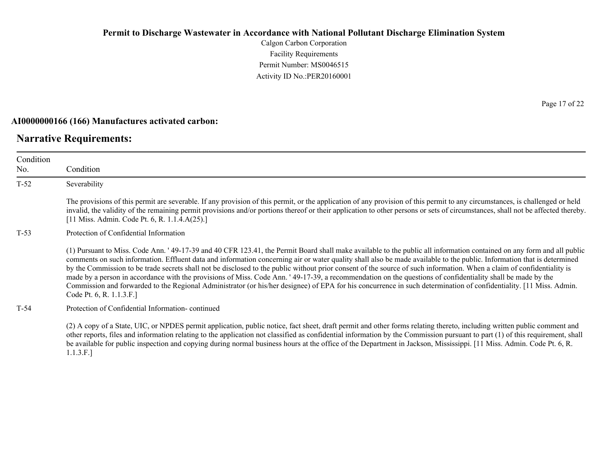Calgon Carbon Corporation Facility Requirements Permit Number: MS0046515 Activity ID No.:PER20160001

#### **AI0000000166 (166) Manufactures activated carbon:**

### **Narrative Requirements:**

Condition No. Condition T-52 Severability The provisions of this permit are severable. If any provision of this permit, or the application of any provision of this permit to any circumstances, is challenged or held invalid, the validity of the remaining permit provisions and/or portions thereof or their application to other persons or sets of circumstances, shall not be affected thereby. [11 Miss. Admin. Code Pt. 6, R. 1.1.4.A(25).] T-53 Protection of Confidential Information (1) Pursuant to Miss. Code Ann. ' 49-17-39 and 40 CFR 123.41, the Permit Board shall make available to the public all information contained on any form and all public comments on such information. Effluent data and information concerning air or water quality shall also be made available to the public. Information that is determined by the Commission to be trade secrets shall not be disclosed to the public without prior consent of the source of such information. When a claim of confidentiality is made by a person in accordance with the provisions of Miss. Code Ann. ' 49-17-39, a recommendation on the questions of confidentiality shall be made by the Commission and forwarded to the Regional Administrator (or his/her designee) of EPA for his concurrence in such determination of confidentiality. [11 Miss. Admin. Code Pt. 6, R. 1.1.3.F.] T-54 Protection of Confidential Information- continued (2) A copy of a State, UIC, or NPDES permit application, public notice, fact sheet, draft permit and other forms relating thereto, including written public comment and

other reports, files and information relating to the application not classified as confidential information by the Commission pursuant to part (1) of this requirement, shall be available for public inspection and copying during normal business hours at the office of the Department in Jackson, Mississippi. [11 Miss. Admin. Code Pt. 6, R. 1.1.3.F.]

Page 17 of 22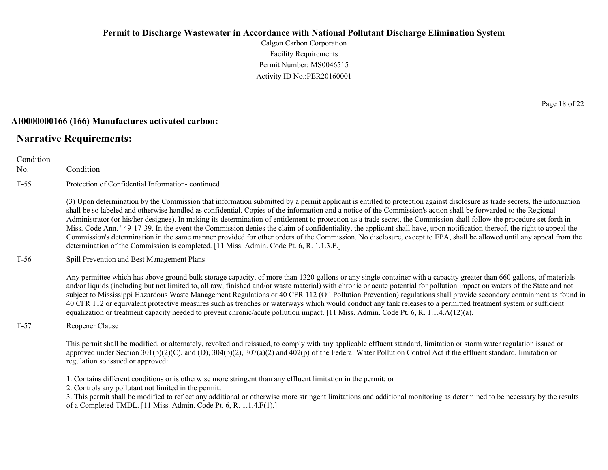Calgon Carbon Corporation Facility Requirements Permit Number: MS0046515 Activity ID No.:PER20160001

#### **AI0000000166 (166) Manufactures activated carbon:**

### **Narrative Requirements:**

No.

Condition Condition T-55 Protection of Confidential Information- continued (3) Upon determination by the Commission that information submitted by a permit applicant is entitled to protection against disclosure as trade secrets, the information shall be so labeled and otherwise handled as confidential. Copies of the information and a notice of the Commission's action shall be forwarded to the Regional Administrator (or his/her designee). In making its determination of entitlement to protection as a trade secret, the Commission shall follow the procedure set forth in Miss. Code Ann. ' 49-17-39. In the event the Commission denies the claim of confidentiality, the applicant shall have, upon notification thereof, the right to appeal the Commission's determination in the same manner provided for other orders of the Commission. No disclosure, except to EPA, shall be allowed until any appeal from the determination of the Commission is completed. [11 Miss. Admin. Code Pt. 6, R. 1.1.3.F.] T-56 Spill Prevention and Best Management Plans Any permittee which has above ground bulk storage capacity, of more than 1320 gallons or any single container with a capacity greater than 660 gallons, of materials and/or liquids (including but not limited to, all raw, finished and/or waste material) with chronic or acute potential for pollution impact on waters of the State and not subject to Mississippi Hazardous Waste Management Regulations or 40 CFR 112 (Oil Pollution Prevention) regulations shall provide secondary containment as found in 40 CFR 112 or equivalent protective measures such as trenches or waterways which would conduct any tank releases to a permitted treatment system or sufficient equalization or treatment capacity needed to prevent chronic/acute pollution impact. [11 Miss. Admin. Code Pt. 6, R. 1.1.4.A(12)(a).] T-57 Reopener Clause This permit shall be modified, or alternately, revoked and reissued, to comply with any applicable effluent standard, limitation or storm water regulation issued or approved under Section  $301(b)(2)(C)$ , and  $(D)$ ,  $304(b)(2)$ ,  $307(a)(2)$  and  $402(p)$  of the Federal Water Pollution Control Act if the effluent standard, limitation or regulation so issued or approved: 1. Contains different conditions or is otherwise more stringent than any effluent limitation in the permit; or 2. Controls any pollutant not limited in the permit.

3. This permit shall be modified to reflect any additional or otherwise more stringent limitations and additional monitoring as determined to be necessary by the results of a Completed TMDL. [11 Miss. Admin. Code Pt. 6, R. 1.1.4.F(1).]

Page 18 of 22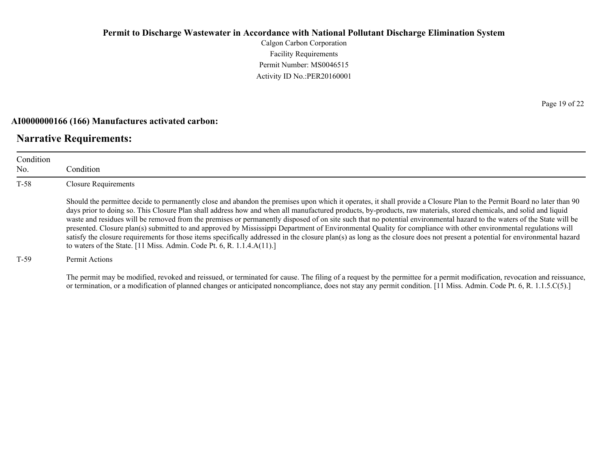Calgon Carbon Corporation Facility Requirements Permit Number: MS0046515 Activity ID No.:PER20160001

#### **AI0000000166 (166) Manufactures activated carbon:**

### **Narrative Requirements:**

| Condition<br>No. | Condition                                                                                                                                                                                                                                                                                                                                                                                                                                                                                                                                                                                                                                                                                                                                                                                                                                                                                                                                              |  |  |
|------------------|--------------------------------------------------------------------------------------------------------------------------------------------------------------------------------------------------------------------------------------------------------------------------------------------------------------------------------------------------------------------------------------------------------------------------------------------------------------------------------------------------------------------------------------------------------------------------------------------------------------------------------------------------------------------------------------------------------------------------------------------------------------------------------------------------------------------------------------------------------------------------------------------------------------------------------------------------------|--|--|
| $T-58$           | <b>Closure Requirements</b>                                                                                                                                                                                                                                                                                                                                                                                                                                                                                                                                                                                                                                                                                                                                                                                                                                                                                                                            |  |  |
|                  | Should the permittee decide to permanently close and abandon the premises upon which it operates, it shall provide a Closure Plan to the Permit Board no later than 90<br>days prior to doing so. This Closure Plan shall address how and when all manufactured products, by-products, raw materials, stored chemicals, and solid and liquid<br>waste and residues will be removed from the premises or permanently disposed of on site such that no potential environmental hazard to the waters of the State will be<br>presented. Closure plan(s) submitted to and approved by Mississippi Department of Environmental Quality for compliance with other environmental regulations will<br>satisfy the closure requirements for those items specifically addressed in the closure plan(s) as long as the closure does not present a potential for environmental hazard<br>to waters of the State. [11 Miss. Admin. Code Pt. 6, R. 1.1.4. $A(11)$ .] |  |  |
| $T-59$           | Permit Actions                                                                                                                                                                                                                                                                                                                                                                                                                                                                                                                                                                                                                                                                                                                                                                                                                                                                                                                                         |  |  |

The permit may be modified, revoked and reissued, or terminated for cause. The filing of a request by the permittee for a permit modification, revocation and reissuance, or termination, or a modification of planned changes or anticipated noncompliance, does not stay any permit condition. [11 Miss. Admin. Code Pt. 6, R. 1.1.5.C(5).]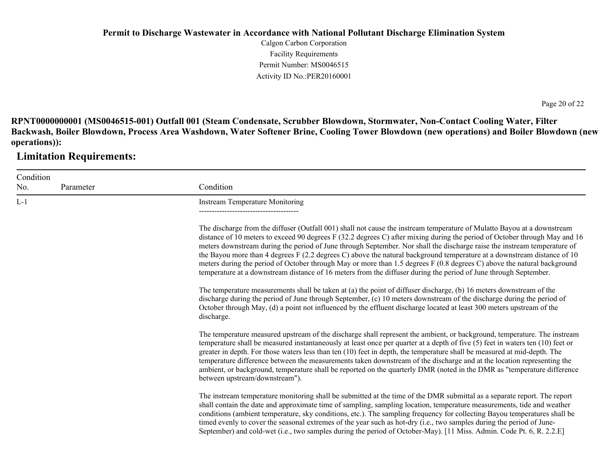Calgon Carbon Corporation Facility Requirements Permit Number: MS0046515 Activity ID No.:PER20160001

Page 20 of 22

**RPNT0000000001 (MS0046515-001) Outfall 001 (Steam Condensate, Scrubber Blowdown, Stormwater, Non-Contact Cooling Water, Filter Backwash, Boiler Blowdown, Process Area Washdown, Water Softener Brine, Cooling Tower Blowdown (new operations) and Boiler Blowdown (new operations)):**

**Limitation Requirements:**

| Condition |           |                                                                                                                                                                                                                                                                                                                                                                                                                                                                                                                                                                                                                                                                                                                                                             |
|-----------|-----------|-------------------------------------------------------------------------------------------------------------------------------------------------------------------------------------------------------------------------------------------------------------------------------------------------------------------------------------------------------------------------------------------------------------------------------------------------------------------------------------------------------------------------------------------------------------------------------------------------------------------------------------------------------------------------------------------------------------------------------------------------------------|
| No.       | Parameter | Condition                                                                                                                                                                                                                                                                                                                                                                                                                                                                                                                                                                                                                                                                                                                                                   |
| $L-1$     |           | <b>Instream Temperature Monitoring</b>                                                                                                                                                                                                                                                                                                                                                                                                                                                                                                                                                                                                                                                                                                                      |
|           |           | The discharge from the diffuser (Outfall 001) shall not cause the instream temperature of Mulatto Bayou at a downstream<br>distance of 10 meters to exceed 90 degrees F (32.2 degrees C) after mixing during the period of October through May and 16<br>meters downstream during the period of June through September. Nor shall the discharge raise the instream temperature of<br>the Bayou more than 4 degrees F (2.2 degrees C) above the natural background temperature at a downstream distance of 10<br>meters during the period of October through May or more than 1.5 degrees F (0.8 degrees C) above the natural background<br>temperature at a downstream distance of 16 meters from the diffuser during the period of June through September. |
|           |           | The temperature measurements shall be taken at (a) the point of diffuser discharge, (b) 16 meters downstream of the<br>discharge during the period of June through September, (c) 10 meters downstream of the discharge during the period of<br>October through May, (d) a point not influenced by the effluent discharge located at least 300 meters upstream of the<br>discharge.                                                                                                                                                                                                                                                                                                                                                                         |
|           |           | The temperature measured upstream of the discharge shall represent the ambient, or background, temperature. The instream<br>temperature shall be measured instantaneously at least once per quarter at a depth of five (5) feet in waters ten (10) feet or<br>greater in depth. For those waters less than ten (10) feet in depth, the temperature shall be measured at mid-depth. The<br>temperature difference between the measurements taken downstream of the discharge and at the location representing the<br>ambient, or background, temperature shall be reported on the quarterly DMR (noted in the DMR as "temperature difference<br>between upstream/downstream").                                                                               |
|           |           | The instream temperature monitoring shall be submitted at the time of the DMR submittal as a separate report. The report<br>shall contain the date and approximate time of sampling, sampling location, temperature measurements, tide and weather<br>conditions (ambient temperature, sky conditions, etc.). The sampling frequency for collecting Bayou temperatures shall be<br>timed evenly to cover the seasonal extremes of the year such as hot-dry (i.e., two samples during the period of June-<br>September) and cold-wet (i.e., two samples during the period of October-May). [11 Miss. Admin. Code Pt. 6, R. 2.2.E]                                                                                                                            |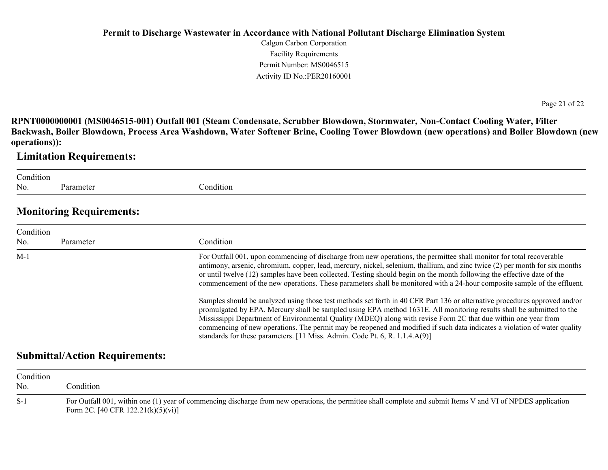Calgon Carbon Corporation Facility Requirements Permit Number: MS0046515 Activity ID No.:PER20160001

Page 21 of 22

**RPNT0000000001 (MS0046515-001) Outfall 001 (Steam Condensate, Scrubber Blowdown, Stormwater, Non-Contact Cooling Water, Filter Backwash, Boiler Blowdown, Process Area Washdown, Water Softener Brine, Cooling Tower Blowdown (new operations) and Boiler Blowdown (new operations)):**

### **Limitation Requirements:**

Condition No. Parameter

Condition

### **Monitoring Requirements:**

| Condition<br>No. | Parameter | Condition                                                                                                                                                                                                                                                                                                                                                                                                                                                                                                                                                                         |
|------------------|-----------|-----------------------------------------------------------------------------------------------------------------------------------------------------------------------------------------------------------------------------------------------------------------------------------------------------------------------------------------------------------------------------------------------------------------------------------------------------------------------------------------------------------------------------------------------------------------------------------|
| $M-1$            |           | For Outfall 001, upon commencing of discharge from new operations, the permittee shall monitor for total recoverable<br>antimony, arsenic, chromium, copper, lead, mercury, nickel, selenium, thallium, and zinc twice (2) per month for six months<br>or until twelve (12) samples have been collected. Testing should begin on the month following the effective date of the<br>commencement of the new operations. These parameters shall be monitored with a 24-hour composite sample of the effluent.                                                                        |
|                  |           | Samples should be analyzed using those test methods set forth in 40 CFR Part 136 or alternative procedures approved and/or<br>promulgated by EPA. Mercury shall be sampled using EPA method 1631E. All monitoring results shall be submitted to the<br>Mississippi Department of Environmental Quality (MDEQ) along with revise Form 2C that due within one year from<br>commencing of new operations. The permit may be reopened and modified if such data indicates a violation of water quality<br>standards for these parameters. [11 Miss. Admin. Code Pt. 6, R. 1.1.4.A(9)] |

### **Submittal/Action Requirements:**

| Condition<br>No. | Condition:                                                                                                                                                                                             |
|------------------|--------------------------------------------------------------------------------------------------------------------------------------------------------------------------------------------------------|
| $S-1$            | For Outfall 001, within one (1) year of commencing discharge from new operations, the permittee shall complete and submit Items V and VI of NPDES application<br>Form 2C. [40 CFR $122.21(k)(5)(vi)$ ] |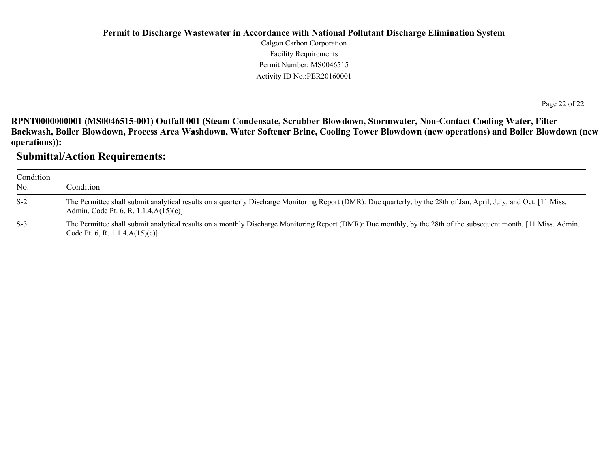Calgon Carbon Corporation Facility Requirements Permit Number: MS0046515 Activity ID No.:PER20160001

Page 22 of 22

**RPNT0000000001 (MS0046515-001) Outfall 001 (Steam Condensate, Scrubber Blowdown, Stormwater, Non-Contact Cooling Water, Filter Backwash, Boiler Blowdown, Process Area Washdown, Water Softener Brine, Cooling Tower Blowdown (new operations) and Boiler Blowdown (new operations)):**

### **Submittal/Action Requirements:**

| Condition<br>No. | Condition                                                                                                                                                                                                    |
|------------------|--------------------------------------------------------------------------------------------------------------------------------------------------------------------------------------------------------------|
| $S-2$            | The Permittee shall submit analytical results on a quarterly Discharge Monitoring Report (DMR): Due quarterly, by the 28th of Jan, April, July, and Oct. [11 Miss.]<br>Admin. Code Pt. 6, R. 1.1.4.A(15)(c)] |
| $S-3$            | The Permittee shall submit analytical results on a monthly Discharge Monitoring Report (DMR): Due monthly, by the 28th of the subsequent month. [11 Miss. Admin.<br>Code Pt. 6, R. 1.1.4. $A(15)(c)$ ]       |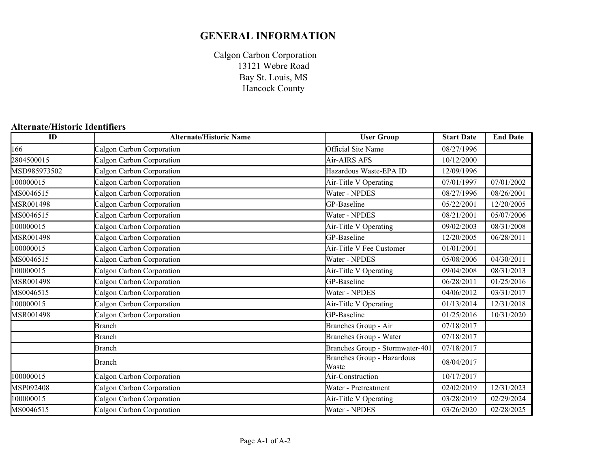# **GENERAL INFORMATION**

Calgon Carbon Corporation Bay St. Louis, MS Hancock County 13121 Webre Road

### **Alternate/Historic Identifiers**

| $\overline{ID}$ | <b>Alternate/Historic Name</b> | <b>User Group</b>                          | <b>Start Date</b> | <b>End Date</b> |
|-----------------|--------------------------------|--------------------------------------------|-------------------|-----------------|
| 166             | Calgon Carbon Corporation      | Official Site Name                         | 08/27/1996        |                 |
| 2804500015      | Calgon Carbon Corporation      | Air-AIRS AFS                               | 10/12/2000        |                 |
| MSD985973502    | Calgon Carbon Corporation      | Hazardous Waste-EPA ID                     | 12/09/1996        |                 |
| 100000015       | Calgon Carbon Corporation      | Air-Title V Operating                      | 07/01/1997        | 07/01/2002      |
| MS0046515       | Calgon Carbon Corporation      | Water - NPDES                              | 08/27/1996        | 08/26/2001      |
| MSR001498       | Calgon Carbon Corporation      | GP-Baseline                                | 05/22/2001        | 12/20/2005      |
| MS0046515       | Calgon Carbon Corporation      | Water - NPDES                              | 08/21/2001        | 05/07/2006      |
| 100000015       | Calgon Carbon Corporation      | Air-Title V Operating                      | 09/02/2003        | 08/31/2008      |
| MSR001498       | Calgon Carbon Corporation      | GP-Baseline                                | 12/20/2005        | 06/28/2011      |
| 100000015       | Calgon Carbon Corporation      | Air-Title V Fee Customer                   | 01/01/2001        |                 |
| MS0046515       | Calgon Carbon Corporation      | Water - NPDES                              | 05/08/2006        | 04/30/2011      |
| 100000015       | Calgon Carbon Corporation      | Air-Title V Operating                      | 09/04/2008        | 08/31/2013      |
| MSR001498       | Calgon Carbon Corporation      | GP-Baseline                                | 06/28/2011        | 01/25/2016      |
| MS0046515       | Calgon Carbon Corporation      | Water - NPDES                              | 04/06/2012        | 03/31/2017      |
| 100000015       | Calgon Carbon Corporation      | Air-Title V Operating                      | 01/13/2014        | 12/31/2018      |
| MSR001498       | Calgon Carbon Corporation      | GP-Baseline                                | 01/25/2016        | 10/31/2020      |
|                 | <b>Branch</b>                  | Branches Group - Air                       | 07/18/2017        |                 |
|                 | <b>Branch</b>                  | Branches Group - Water                     | 07/18/2017        |                 |
|                 | <b>Branch</b>                  | Branches Group - Stormwater-401            | 07/18/2017        |                 |
|                 | Branch                         | <b>Branches Group - Hazardous</b><br>Waste | 08/04/2017        |                 |
| 100000015       | Calgon Carbon Corporation      | Air-Construction                           | 10/17/2017        |                 |
| MSP092408       | Calgon Carbon Corporation      | Water - Pretreatment                       | 02/02/2019        | 12/31/2023      |
| 100000015       | Calgon Carbon Corporation      | Air-Title V Operating                      | 03/28/2019        | 02/29/2024      |
| MS0046515       | Calgon Carbon Corporation      | Water - NPDES                              | 03/26/2020        | 02/28/2025      |